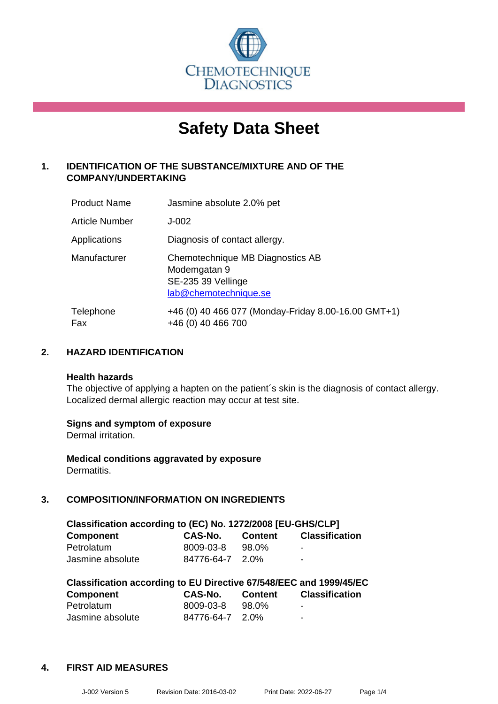

# **Safety Data Sheet**

# **1. IDENTIFICATION OF THE SUBSTANCE/MIXTURE AND OF THE COMPANY/UNDERTAKING**

| <b>Product Name</b>   | Jasmine absolute 2.0% pet                                                                       |
|-----------------------|-------------------------------------------------------------------------------------------------|
| <b>Article Number</b> | $J-002$                                                                                         |
| Applications          | Diagnosis of contact allergy.                                                                   |
| Manufacturer          | Chemotechnique MB Diagnostics AB<br>Modemgatan 9<br>SE-235 39 Vellinge<br>lab@chemotechnique.se |
| Telephone<br>Fax      | +46 (0) 40 466 077 (Monday-Friday 8.00-16.00 GMT+1)<br>+46 (0) 40 466 700                       |

#### **2. HAZARD IDENTIFICATION**

#### **Health hazards**

The objective of applying a hapten on the patient's skin is the diagnosis of contact allergy. Localized dermal allergic reaction may occur at test site.

#### **Signs and symptom of exposure**

Dermal irritation.

**Medical conditions aggravated by exposure** Dermatitis.

# **3. COMPOSITION/INFORMATION ON INGREDIENTS**

| Classification according to (EC) No. 1272/2008 [EU-GHS/CLP] |                 |                |                |  |  |
|-------------------------------------------------------------|-----------------|----------------|----------------|--|--|
| <b>Component</b>                                            | CAS-No.         | <b>Content</b> | Classification |  |  |
| Petrolatum                                                  | 8009-03-8       | 98.0%          | -              |  |  |
| Jasmine absolute                                            | 84776-64-7 2.0% |                | $\sim$         |  |  |

| Classification according to EU Directive 67/548/EEC and 1999/45/EC |            |                |                       |  |  |
|--------------------------------------------------------------------|------------|----------------|-----------------------|--|--|
| Component                                                          | CAS-No.    | <b>Content</b> | <b>Classification</b> |  |  |
| Petrolatum                                                         | 8009-03-8  | 98.0%          | -                     |  |  |
| Jasmine absolute                                                   | 84776-64-7 | 2.0%           | $\blacksquare$        |  |  |

# **4. FIRST AID MEASURES**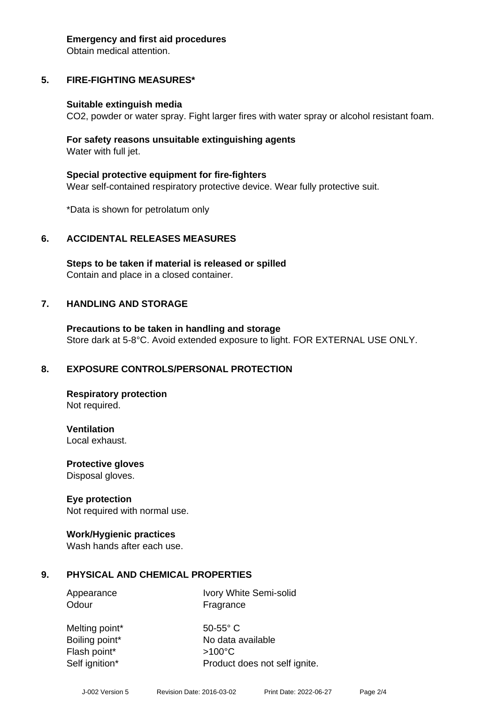#### **Emergency and first aid procedures**

Obtain medical attention.

# **5. FIRE-FIGHTING MEASURES\***

#### **Suitable extinguish media**

CO2, powder or water spray. Fight larger fires with water spray or alcohol resistant foam.

#### **For safety reasons unsuitable extinguishing agents** Water with full jet.

**Special protective equipment for fire-fighters** Wear self-contained respiratory protective device. Wear fully protective suit.

\*Data is shown for petrolatum only

#### **6. ACCIDENTAL RELEASES MEASURES**

**Steps to be taken if material is released or spilled** Contain and place in a closed container.

#### **7. HANDLING AND STORAGE**

**Precautions to be taken in handling and storage** Store dark at 5-8°C. Avoid extended exposure to light. FOR EXTERNAL USE ONLY.

#### **8. EXPOSURE CONTROLS/PERSONAL PROTECTION**

**Respiratory protection** Not required.

**Ventilation** Local exhaust.

**Protective gloves** Disposal gloves.

#### **Eye protection**

Not required with normal use.

#### **Work/Hygienic practices**

Wash hands after each use.

#### **9. PHYSICAL AND CHEMICAL PROPERTIES**

Odour **Fragrance** 

Appearance Ivory White Semi-solid

Melting point\* 50-55° C Flash point\* >100°C

Boiling point\* No data available Self ignition\* Product does not self ignite.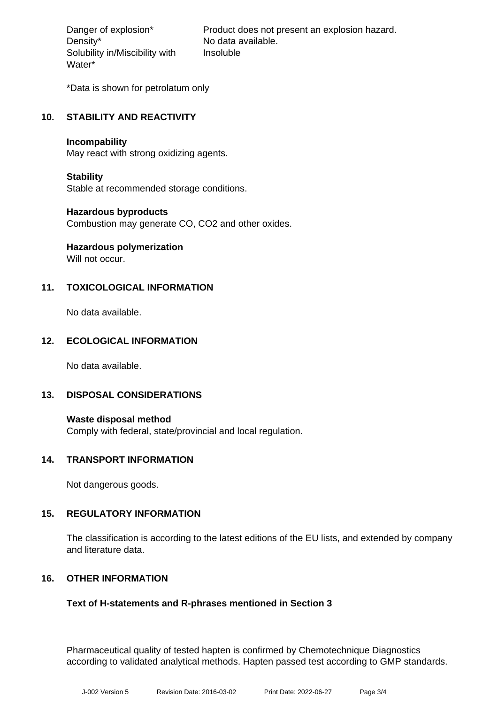Density\* No data available. Solubility in/Miscibility with Water\*

Danger of explosion\* Product does not present an explosion hazard. Insoluble

\*Data is shown for petrolatum only

# **10. STABILITY AND REACTIVITY**

#### **Incompability**

May react with strong oxidizing agents.

#### **Stability**

Stable at recommended storage conditions.

#### **Hazardous byproducts**

Combustion may generate CO, CO2 and other oxides.

# **Hazardous polymerization**

Will not occur.

# **11. TOXICOLOGICAL INFORMATION**

No data available.

#### **12. ECOLOGICAL INFORMATION**

No data available.

#### **13. DISPOSAL CONSIDERATIONS**

**Waste disposal method** Comply with federal, state/provincial and local regulation.

#### **14. TRANSPORT INFORMATION**

Not dangerous goods.

#### **15. REGULATORY INFORMATION**

The classification is according to the latest editions of the EU lists, and extended by company and literature data.

#### **16. OTHER INFORMATION**

#### **Text of H-statements and R-phrases mentioned in Section 3**

Pharmaceutical quality of tested hapten is confirmed by Chemotechnique Diagnostics according to validated analytical methods. Hapten passed test according to GMP standards.